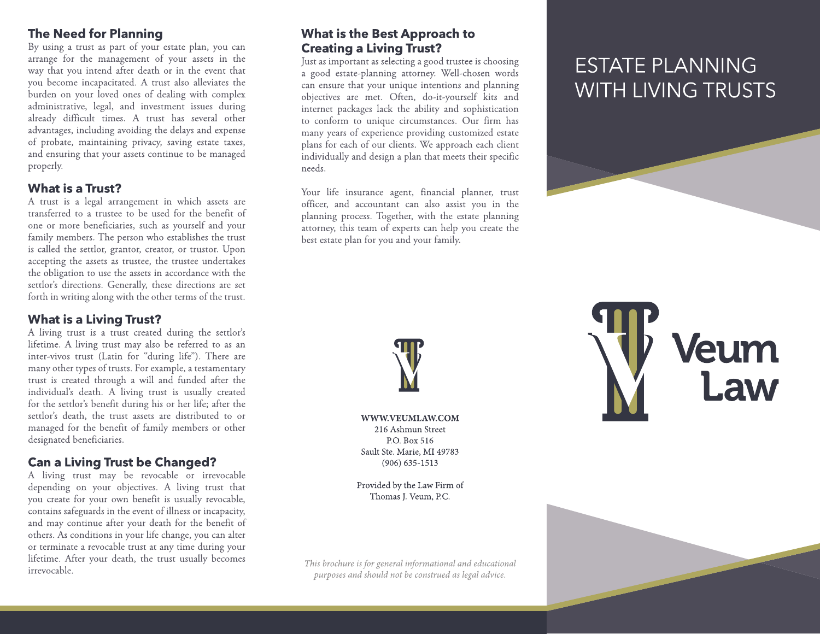### **The Need for Planning**

By using a trust as part of your estate plan, you can arrange for the management of your assets in the way that you intend after death or in the event that you become incapacitated. A trust also alleviates the burden on your loved ones of dealing with complex administrative, legal, and investment issues during already difficult times. A trust has several other advantages, including avoiding the delays and expense of probate, maintaining privacy, saving estate taxes, and ensuring that your assets continue to be managed properly.

## **What is a Trust?**

A trust is a legal arrangement in which assets are transferred to a trustee to be used for the benefit of one or more beneficiaries, such as yourself and your family members. The person who establishes the trust is called the settlor, grantor, creator, or trustor. Upon accepting the assets as trustee, the trustee undertakes the obligation to use the assets in accordance with the settlor's directions. Generally, these directions are set forth in writing along with the other terms of the trust.

## **What is a Living Trust?**

A living trust is a trust created during the settlor's lifetime. A living trust may also be referred to as an inter-vivos trust (Latin for "during life"). There are many other types of trusts. For example, a testamentary trust is created through a will and funded after the individual's death. A living trust is usually created for the settlor's benefit during his or her life; after the settlor's death, the trust assets are distributed to or managed for the benefit of family members or other designated beneficiaries.

# **Can a Living Trust be Changed?**

A living trust may be revocable or irrevocable depending on your objectives. A living trust that you create for your own benefit is usually revocable, contains safeguards in the event of illness or incapacity, and may continue after your death for the benefit of others. As conditions in your life change, you can alter or terminate a revocable trust at any time during your lifetime. After your death, the trust usually becomes irrevocable.

# **What is the Best Approach to Creating a Living Trust?**

Just as important as selecting a good trustee is choosing a good estate-planning attorney. Well-chosen words can ensure that your unique intentions and planning objectives are met. Often, do-it-yourself kits and internet packages lack the ability and sophistication to conform to unique circumstances. Our firm has many years of experience providing customized estate plans for each of our clients. We approach each client individually and design a plan that meets their specific needs.

Your life insurance agent, financial planner, trust officer, and accountant can also assist you in the planning process. Together, with the estate planning attorney, this team of experts can help you create the best estate plan for you and your family.

# **ESTATE PLANNING WITH LIVING TRUSTS**



WWW.VEUMLAW.COM 216 Ashmun Street P.O. Box 516 Sault Ste. Marie, MI 49783  $(906) 635 - 1513$ 

Provided by the Law Firm of Thomas I. Veum, P.C.

This brochure is for general informational and educational purposes and should not be construed as legal advice.